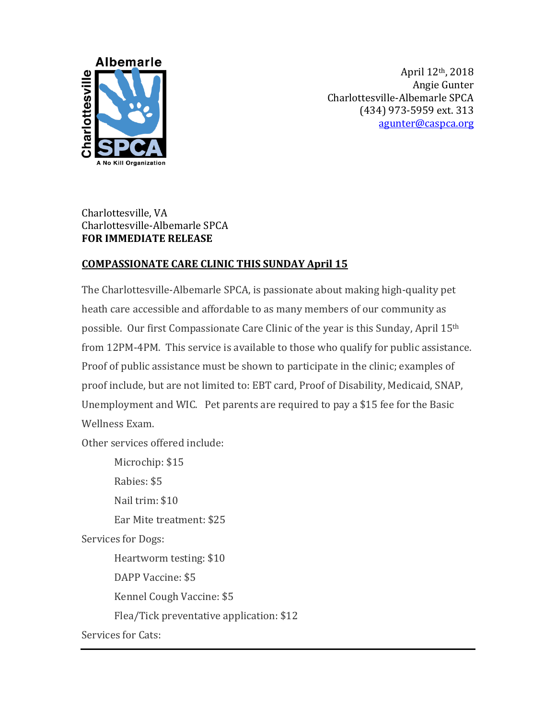

April 12th, 2018 Angie Gunter Charlottesville-Albemarle SPCA (434) 973-5959 ext. 313 [agunter@caspca.org](mailto:agunter@caspca.org)

## Charlottesville, VA Charlottesville-Albemarle SPCA **FOR IMMEDIATE RELEASE**

## **COMPASSIONATE CARE CLINIC THIS SUNDAY April 15**

The Charlottesville-Albemarle SPCA, is passionate about making high-quality pet heath care accessible and affordable to as many members of our community as possible. Our first Compassionate Care Clinic of the year is this Sunday, April 15th from 12PM-4PM. This service is available to those who qualify for public assistance. Proof of public assistance must be shown to participate in the clinic; examples of proof include, but are not limited to: EBT card, Proof of Disability, Medicaid, SNAP, Unemployment and WIC. Pet parents are required to pay a \$15 fee for the Basic Wellness Exam.

Other services offered include:

Microchip: \$15 Rabies: \$5 Nail trim: \$10 Ear Mite treatment: \$25 Services for Dogs: Heartworm testing: \$10 DAPP Vaccine: \$5 Kennel Cough Vaccine: \$5 Flea/Tick preventative application: \$12 Services for Cats: